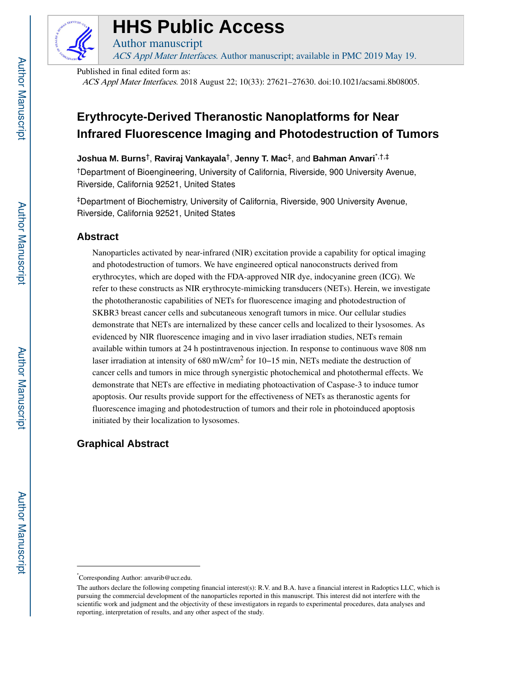

# **HHS Public Access**

ACS Appl Mater Interfaces. Author manuscript; available in PMC 2019 May 19.

Published in final edited form as:

Author manuscript

ACS Appl Mater Interfaces. 2018 August 22; 10(33): 27621–27630. doi:10.1021/acsami.8b08005.

## **Erythrocyte-Derived Theranostic Nanoplatforms for Near Infrared Fluorescence Imaging and Photodestruction of Tumors**

**Joshua M. Burns**†, **Raviraj Vankayala**†, **Jenny T. Mac**‡, and **Bahman Anvari**\*,†,‡

†Department of Bioengineering, University of California, Riverside, 900 University Avenue, Riverside, California 92521, United States

‡Department of Biochemistry, University of California, Riverside, 900 University Avenue, Riverside, California 92521, United States

## **Abstract**

Nanoparticles activated by near-infrared (NIR) excitation provide a capability for optical imaging and photodestruction of tumors. We have engineered optical nanoconstructs derived from erythrocytes, which are doped with the FDA-approved NIR dye, indocyanine green (ICG). We refer to these constructs as NIR erythrocyte-mimicking transducers (NETs). Herein, we investigate the phototheranostic capabilities of NETs for fluorescence imaging and photodestruction of SKBR3 breast cancer cells and subcutaneous xenograft tumors in mice. Our cellular studies demonstrate that NETs are internalized by these cancer cells and localized to their lysosomes. As evidenced by NIR fluorescence imaging and in vivo laser irradiation studies, NETs remain available within tumors at 24 h postintravenous injection. In response to continuous wave 808 nm laser irradiation at intensity of 680 mW/cm<sup>2</sup> for 10–15 min, NETs mediate the destruction of cancer cells and tumors in mice through synergistic photochemical and photothermal effects. We demonstrate that NETs are effective in mediating photoactivation of Caspase-3 to induce tumor apoptosis. Our results provide support for the effectiveness of NETs as theranostic agents for fluorescence imaging and photodestruction of tumors and their role in photoinduced apoptosis initiated by their localization to lysosomes.

## **Graphical Abstract**

<sup>\*</sup>Corresponding Author: anvarib@ucr.edu.

The authors declare the following competing financial interest(s): R.V. and B.A. have a financial interest in Radoptics LLC, which is pursuing the commercial development of the nanoparticles reported in this manuscript. This interest did not interfere with the scientific work and judgment and the objectivity of these investigators in regards to experimental procedures, data analyses and reporting, interpretation of results, and any other aspect of the study.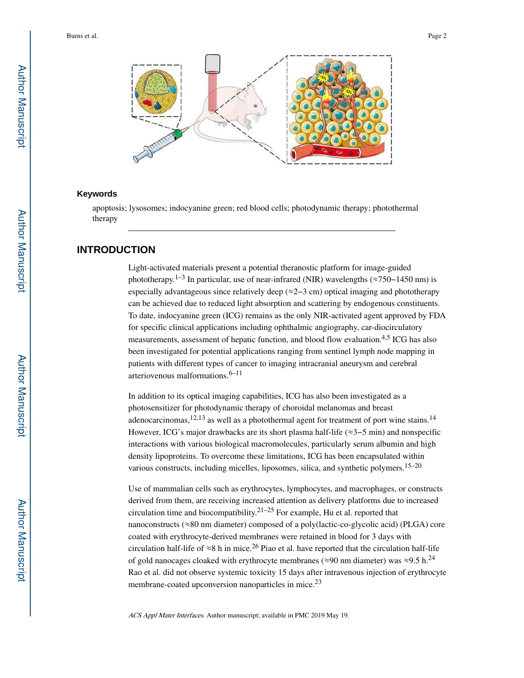

#### **Keywords**

apoptosis; lysosomes; indocyanine green; red blood cells; photodynamic therapy; photothermal therapy

## **INTRODUCTION**

Light-activated materials present a potential theranostic platform for image-guided phototherapy.<sup>1–3</sup> In particular, use of near-infrared (NIR) wavelengths ( $\approx$ 750–1450 nm) is especially advantageous since relatively deep (≈2−3 cm) optical imaging and phototherapy can be achieved due to reduced light absorption and scattering by endogenous constituents. To date, indocyanine green (ICG) remains as the only NIR-activated agent approved by FDA for specific clinical applications including ophthalmic angiography, car-diocirculatory measurements, assessment of hepatic function, and blood flow evaluation.4,5 ICG has also been investigated for potential applications ranging from sentinel lymph node mapping in patients with different types of cancer to imaging intracranial aneurysm and cerebral arteriovenous malformations. $6-11$ 

In addition to its optical imaging capabilities, ICG has also been investigated as a photosensitizer for photodynamic therapy of choroidal melanomas and breast adenocarcinomas,<sup>12,13</sup> as well as a photothermal agent for treatment of port wine stains.<sup>14</sup> However, ICG's major drawbacks are its short plasma half-life (≈3−5 min) and nonspecific interactions with various biological macromolecules, particularly serum albumin and high density lipoproteins. To overcome these limitations, ICG has been encapsulated within various constructs, including micelles, liposomes, silica, and synthetic polymers.  $15-20$ 

Use of mammalian cells such as erythrocytes, lymphocytes, and macrophages, or constructs derived from them, are receiving increased attention as delivery platforms due to increased circulation time and biocompatibility.<sup>21–25</sup> For example, Hu et al. reported that nanoconstructs (≈80 nm diameter) composed of a poly(lactic-co-glycolic acid) (PLGA) core coated with erythrocyte-derived membranes were retained in blood for 3 days with circulation half-life of  $\approx 8$  h in mice.<sup>26</sup> Piao et al. have reported that the circulation half-life of gold nanocages cloaked with erythrocyte membranes ( $\approx$ 90 nm diameter) was  $\approx$ 9.5 h.<sup>24</sup> Rao et al. did not observe systemic toxicity 15 days after intravenous injection of erythrocyte membrane-coated upconversion nanoparticles in mice.<sup>23</sup>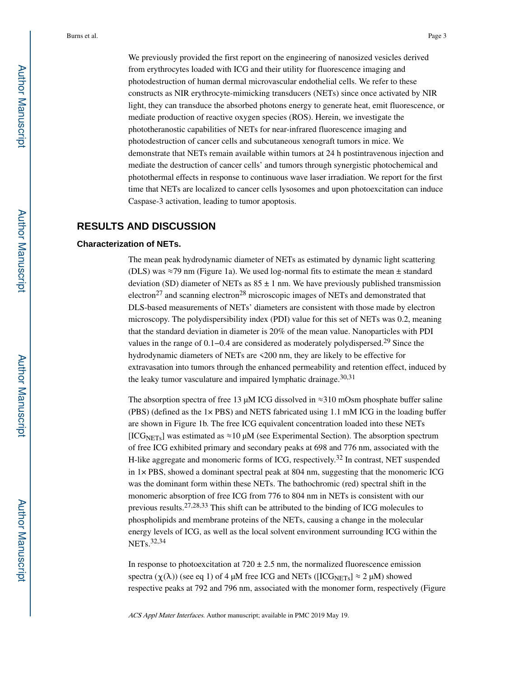We previously provided the first report on the engineering of nanosized vesicles derived from erythrocytes loaded with ICG and their utility for fluorescence imaging and photodestruction of human dermal microvascular endothelial cells. We refer to these constructs as NIR erythrocyte-mimicking transducers (NETs) since once activated by NIR light, they can transduce the absorbed photons energy to generate heat, emit fluorescence, or mediate production of reactive oxygen species (ROS). Herein, we investigate the phototheranostic capabilities of NETs for near-infrared fluorescence imaging and photodestruction of cancer cells and subcutaneous xenograft tumors in mice. We demonstrate that NETs remain available within tumors at 24 h postintravenous injection and mediate the destruction of cancer cells' and tumors through synergistic photochemical and photothermal effects in response to continuous wave laser irradiation. We report for the first time that NETs are localized to cancer cells lysosomes and upon photoexcitation can induce Caspase-3 activation, leading to tumor apoptosis.

## **RESULTS AND DISCUSSION**

#### **Characterization of NETs.**

The mean peak hydrodynamic diameter of NETs as estimated by dynamic light scattering (DLS) was ≈79 nm (Figure 1a). We used log-normal fits to estimate the mean ± standard deviation (SD) diameter of NETs as  $85 \pm 1$  nm. We have previously published transmission electron<sup>27</sup> and scanning electron<sup>28</sup> microscopic images of NETs and demonstrated that DLS-based measurements of NETs' diameters are consistent with those made by electron microscopy. The polydispersibility index (PDI) value for this set of NETs was 0.2, meaning that the standard deviation in diameter is 20% of the mean value. Nanoparticles with PDI values in the range of 0.1−0.4 are considered as moderately polydispersed.29 Since the hydrodynamic diameters of NETs are <200 nm, they are likely to be effective for extravasation into tumors through the enhanced permeability and retention effect, induced by the leaky tumor vasculature and impaired lymphatic drainage.  $30,31$ 

The absorption spectra of free 13  $\mu$ M ICG dissolved in ≈310 mOsm phosphate buffer saline (PBS) (defined as the 1× PBS) and NETS fabricated using 1.1 mM ICG in the loading buffer are shown in Figure 1b. The free ICG equivalent concentration loaded into these NETs [ICG<sub>NETs</sub>] was estimated as  $\approx$ 10 μM (see Experimental Section). The absorption spectrum of free ICG exhibited primary and secondary peaks at 698 and 776 nm, associated with the H-like aggregate and monomeric forms of ICG, respectively.<sup>32</sup> In contrast, NET suspended in  $1\times$  PBS, showed a dominant spectral peak at 804 nm, suggesting that the monomeric ICG was the dominant form within these NETs. The bathochromic (red) spectral shift in the monomeric absorption of free ICG from 776 to 804 nm in NETs is consistent with our previous results.27,28,33 This shift can be attributed to the binding of ICG molecules to phospholipids and membrane proteins of the NETs, causing a change in the molecular energy levels of ICG, as well as the local solvent environment surrounding ICG within the NETs.32,34

In response to photoexcitation at  $720 \pm 2.5$  nm, the normalized fluorescence emission spectra ( $\chi(\lambda)$ ) (see eq 1) of 4 μM free ICG and NETs ([ICG<sub>NETs</sub>]  $\approx$  2 μM) showed respective peaks at 792 and 796 nm, associated with the monomer form, respectively (Figure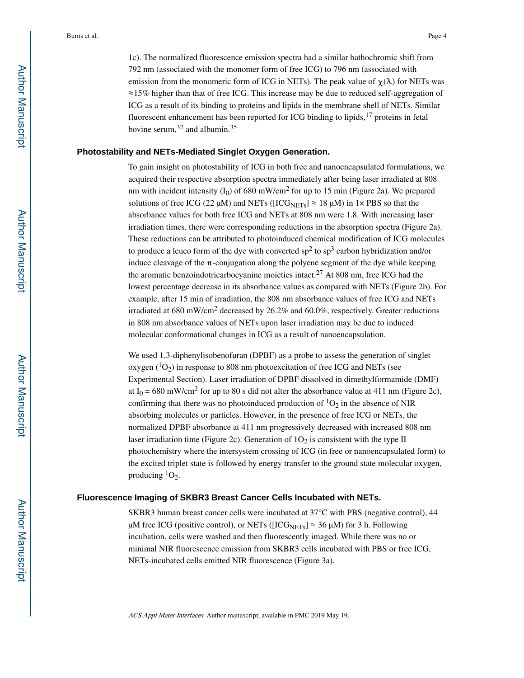1c). The normalized fluorescence emission spectra had a similar bathochromic shift from 792 nm (associated with the monomer form of free ICG) to 796 nm (associated with emission from the monomeric form of ICG in NETs). The peak value of  $\gamma(\lambda)$  for NETs was ≈15% higher than that of free ICG. This increase may be due to reduced self-aggregation of ICG as a result of its binding to proteins and lipids in the membrane shell of NETs. Similar fluorescent enhancement has been reported for ICG binding to lipids, $17$  proteins in fetal bovine serum,  $32$  and albumin.  $35$ 

#### **Photostability and NETs-Mediated Singlet Oxygen Generation.**

To gain insight on photostability of ICG in both free and nanoencapsulated formulations, we acquired their respective absorption spectra immediately after being laser irradiated at 808 nm with incident intensity  $(I_0)$  of 680 mW/cm<sup>2</sup> for up to 15 min (Figure 2a). We prepared solutions of free ICG (22  $\mu$ M) and NETs ([ICG<sub>NETs</sub>]  $\approx$  18  $\mu$ M) in 1× PBS so that the absorbance values for both free ICG and NETs at 808 nm were 1.8. With increasing laser irradiation times, there were corresponding reductions in the absorption spectra (Figure 2a). These reductions can be attributed to photoinduced chemical modification of ICG molecules to produce a leuco form of the dye with converted  $sp^2$  to  $sp^3$  carbon hybridization and/or induce cleavage of the  $\pi$ -conjugation along the polyene segment of the dye while keeping the aromatic benzoindotricarbocyanine moieties intact.<sup>27</sup> At 808 nm, free ICG had the lowest percentage decrease in its absorbance values as compared with NETs (Figure 2b). For example, after 15 min of irradiation, the 808 nm absorbance values of free ICG and NETs irradiated at 680 mW/cm<sup>2</sup> decreased by 26.2% and 60.0%, respectively. Greater reductions in 808 nm absorbance values of NETs upon laser irradiation may be due to induced molecular conformational changes in ICG as a result of nanoencapsulation.

We used 1,3-diphenylisobenofuran (DPBF) as a probe to assess the generation of singlet oxygen  $(^1O_2)$  in response to 808 nm photoexcitation of free ICG and NETs (see Experimental Section). Laser irradiation of DPBF dissolved in dimethylformamide (DMF) at  $I_0 = 680$  mW/cm<sup>2</sup> for up to 80 s did not alter the absorbance value at 411 nm (Figure 2c), confirming that there was no photoinduced production of  ${}^{1}O_{2}$  in the absence of NIR absorbing molecules or particles. However, in the presence of free ICG or NETs, the normalized DPBF absorbance at 411 nm progressively decreased with increased 808 nm laser irradiation time (Figure 2c). Generation of  $1O<sub>2</sub>$  is consistent with the type II photochemistry where the intersystem crossing of ICG (in free or nanoencapsulated form) to the excited triplet state is followed by energy transfer to the ground state molecular oxygen, producing  ${}^{1}O_{2}$ .

#### **Fluorescence Imaging of SKBR3 Breast Cancer Cells Incubated with NETs.**

SKBR3 human breast cancer cells were incubated at 37°C with PBS (negative control), 44 μM free ICG (positive control), or NETs ([ICG<sub>NETs</sub>]  $\approx$  36 μM) for 3 h. Following incubation, cells were washed and then fluorescently imaged. While there was no or minimal NIR fluorescence emission from SKBR3 cells incubated with PBS or free ICG, NETs-incubated cells emitted NIR fluorescence (Figure 3a).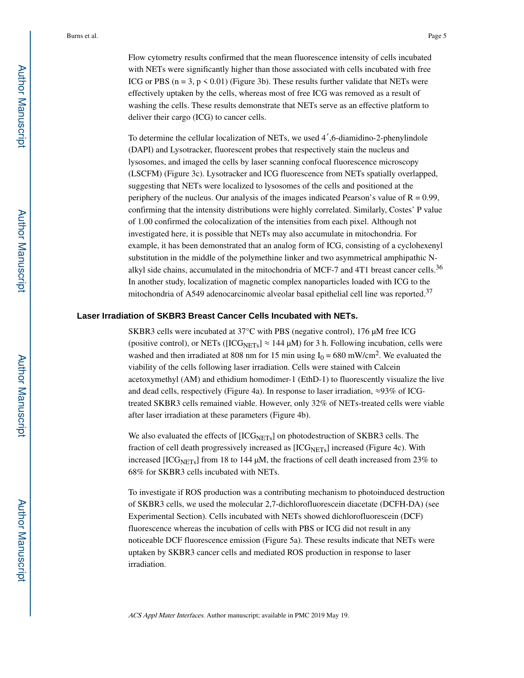Flow cytometry results confirmed that the mean fluorescence intensity of cells incubated with NETs were significantly higher than those associated with cells incubated with free ICG or PBS ( $n = 3$ ,  $p < 0.01$ ) (Figure 3b). These results further validate that NETs were effectively uptaken by the cells, whereas most of free ICG was removed as a result of washing the cells. These results demonstrate that NETs serve as an effective platform to deliver their cargo (ICG) to cancer cells.

To determine the cellular localization of NETs, we used  $4^{\prime}$ , 6-diamidino-2-phenylindole (DAPI) and Lysotracker, fluorescent probes that respectively stain the nucleus and lysosomes, and imaged the cells by laser scanning confocal fluorescence microscopy (LSCFM) (Figure 3c). Lysotracker and ICG fluorescence from NETs spatially overlapped, suggesting that NETs were localized to lysosomes of the cells and positioned at the periphery of the nucleus. Our analysis of the images indicated Pearson's value of  $R = 0.99$ , confirming that the intensity distributions were highly correlated. Similarly, Costes' P value of 1.00 confirmed the colocalization of the intensities from each pixel. Although not investigated here, it is possible that NETs may also accumulate in mitochondria. For example, it has been demonstrated that an analog form of ICG, consisting of a cyclohexenyl substitution in the middle of the polymethine linker and two asymmetrical amphipathic Nalkyl side chains, accumulated in the mitochondria of MCF-7 and 4T1 breast cancer cells.<sup>36</sup> In another study, localization of magnetic complex nanoparticles loaded with ICG to the mitochondria of A549 adenocarcinomic alveolar basal epithelial cell line was reported.<sup>37</sup>

#### **Laser Irradiation of SKBR3 Breast Cancer Cells Incubated with NETs.**

SKBR3 cells were incubated at 37°C with PBS (negative control), 176 μM free ICG (positive control), or NETs ( $[ICG<sub>NETs</sub>] \approx 144 \mu M$ ) for 3 h. Following incubation, cells were washed and then irradiated at 808 nm for 15 min using  $I_0 = 680$  mW/cm<sup>2</sup>. We evaluated the viability of the cells following laser irradiation. Cells were stained with Calcein acetoxymethyl (AM) and ethidium homodimer-1 (EthD-1) to fluorescently visualize the live and dead cells, respectively (Figure 4a). In response to laser irradiation, ≈93% of ICGtreated SKBR3 cells remained viable. However, only 32% of NETs-treated cells were viable after laser irradiation at these parameters (Figure 4b).

We also evaluated the effects of  $[ICG<sub>NETs</sub>]$  on photodestruction of SKBR3 cells. The fraction of cell death progressively increased as  $[ICG<sub>NETs</sub>]$  increased (Figure 4c). With increased [ICG<sub>NETs</sub>] from 18 to 144  $\mu$ M, the fractions of cell death increased from 23% to 68% for SKBR3 cells incubated with NETs.

To investigate if ROS production was a contributing mechanism to photoinduced destruction of SKBR3 cells, we used the molecular 2,7-dichlorofluorescein diacetate (DCFH-DA) (see Experimental Section). Cells incubated with NETs showed dichlorofluorescein (DCF) fluorescence whereas the incubation of cells with PBS or ICG did not result in any noticeable DCF fluorescence emission (Figure 5a). These results indicate that NETs were uptaken by SKBR3 cancer cells and mediated ROS production in response to laser irradiation.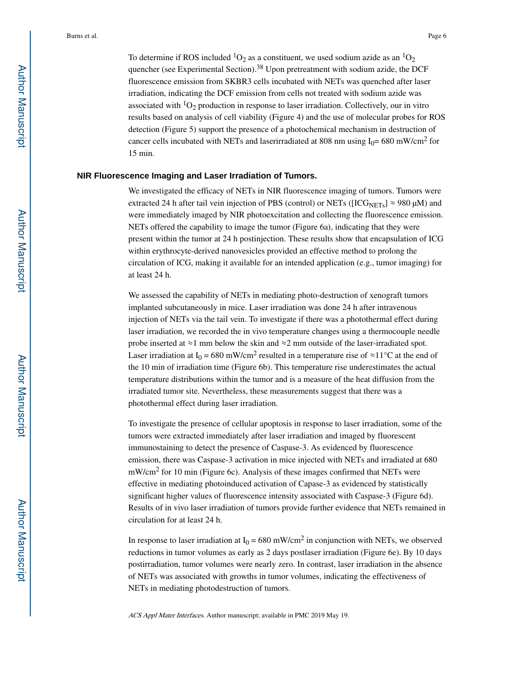To determine if ROS included  ${}^{1}O_2$  as a constituent, we used sodium azide as an  ${}^{1}O_2$ quencher (see Experimental Section).<sup>38</sup> Upon pretreatment with sodium azide, the DCF fluorescence emission from SKBR3 cells incubated with NETs was quenched after laser irradiation, indicating the DCF emission from cells not treated with sodium azide was associated with  ${}^{1}O_2$  production in response to laser irradiation. Collectively, our in vitro results based on analysis of cell viability (Figure 4) and the use of molecular probes for ROS detection (Figure 5) support the presence of a photochemical mechanism in destruction of cancer cells incubated with NETs and laserirradiated at 808 nm using  $I_0$  = 680 mW/cm<sup>2</sup> for 15 min.

#### **NIR Fluorescence Imaging and Laser Irradiation of Tumors.**

We investigated the efficacy of NETs in NIR fluorescence imaging of tumors. Tumors were extracted 24 h after tail vein injection of PBS (control) or NETs ([ICG<sub>NETs</sub>]  $\approx$  980  $\mu$ M) and were immediately imaged by NIR photoexcitation and collecting the fluorescence emission. NETs offered the capability to image the tumor (Figure 6a), indicating that they were present within the tumor at 24 h postinjection. These results show that encapsulation of ICG within erythrocyte-derived nanovesicles provided an effective method to prolong the circulation of ICG, making it available for an intended application (e.g., tumor imaging) for at least 24 h.

We assessed the capability of NETs in mediating photo-destruction of xenograft tumors implanted subcutaneously in mice. Laser irradiation was done 24 h after intravenous injection of NETs via the tail vein. To investigate if there was a photothermal effect during laser irradiation, we recorded the in vivo temperature changes using a thermocouple needle probe inserted at ≈1 mm below the skin and ≈2 mm outside of the laser-irradiated spot. Laser irradiation at I<sub>0</sub> = 680 mW/cm<sup>2</sup> resulted in a temperature rise of  $\approx$ 11<sup>o</sup>C at the end of the 10 min of irradiation time (Figure 6b). This temperature rise underestimates the actual temperature distributions within the tumor and is a measure of the heat diffusion from the irradiated tumor site. Nevertheless, these measurements suggest that there was a photothermal effect during laser irradiation.

To investigate the presence of cellular apoptosis in response to laser irradiation, some of the tumors were extracted immediately after laser irradiation and imaged by fluorescent immunostaining to detect the presence of Caspase-3. As evidenced by fluorescence emission, there was Caspase-3 activation in mice injected with NETs and irradiated at 680 mW/cm<sup>2</sup> for 10 min (Figure 6c). Analysis of these images confirmed that NETs were effective in mediating photoinduced activation of Capase-3 as evidenced by statistically significant higher values of fluorescence intensity associated with Caspase-3 (Figure 6d). Results of in vivo laser irradiation of tumors provide further evidence that NETs remained in circulation for at least 24 h.

In response to laser irradiation at  $I_0 = 680$  mW/cm<sup>2</sup> in conjunction with NETs, we observed reductions in tumor volumes as early as 2 days postlaser irradiation (Figure 6e). By 10 days postirradiation, tumor volumes were nearly zero. In contrast, laser irradiation in the absence of NETs was associated with growths in tumor volumes, indicating the effectiveness of NETs in mediating photodestruction of tumors.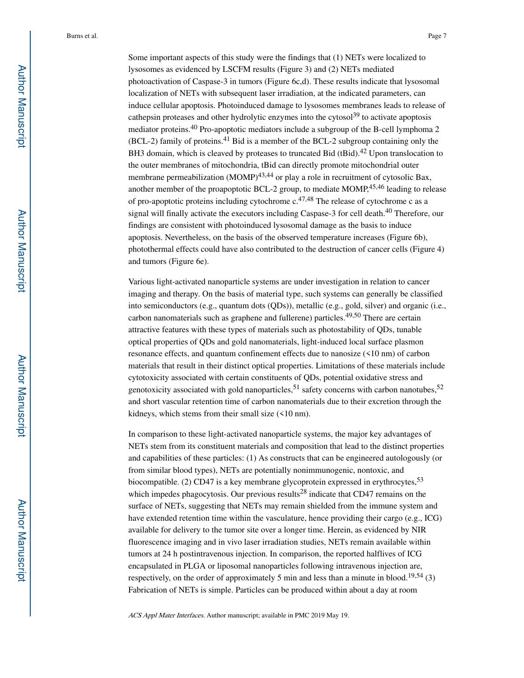Some important aspects of this study were the findings that (1) NETs were localized to lysosomes as evidenced by LSCFM results (Figure 3) and (2) NETs mediated photoactivation of Caspase-3 in tumors (Figure 6c,d). These results indicate that lysosomal localization of NETs with subsequent laser irradiation, at the indicated parameters, can induce cellular apoptosis. Photoinduced damage to lysosomes membranes leads to release of cathepsin proteases and other hydrolytic enzymes into the cytosol<sup>39</sup> to activate apoptosis mediator proteins.<sup>40</sup> Pro-apoptotic mediators include a subgroup of the B-cell lymphoma 2  $(BCL-2)$  family of proteins.<sup>41</sup> Bid is a member of the BCL-2 subgroup containing only the BH3 domain, which is cleaved by proteases to truncated Bid (tBid).<sup>42</sup> Upon translocation to the outer membranes of mitochondria, tBid can directly promote mitochondrial outer membrane permeabilization  $(MOMP)^{43,44}$  or play a role in recruitment of cytosolic Bax, another member of the proapoptotic BCL-2 group, to mediate  $MOMP<sub>1</sub><sup>45,46</sup>$  leading to release of pro-apoptotic proteins including cytochrome  $c^{47,48}$  The release of cytochrome c as a signal will finally activate the executors including Caspase-3 for cell death.<sup>40</sup> Therefore, our findings are consistent with photoinduced lysosomal damage as the basis to induce apoptosis. Nevertheless, on the basis of the observed temperature increases (Figure 6b), photothermal effects could have also contributed to the destruction of cancer cells (Figure 4) and tumors (Figure 6e).

Various light-activated nanoparticle systems are under investigation in relation to cancer imaging and therapy. On the basis of material type, such systems can generally be classified into semiconductors (e.g., quantum dots (QDs)), metallic (e.g., gold, silver) and organic (i.e., carbon nanomaterials such as graphene and fullerene) particles.<sup>49,50</sup> There are certain attractive features with these types of materials such as photostability of QDs, tunable optical properties of QDs and gold nanomaterials, light-induced local surface plasmon resonance effects, and quantum confinement effects due to nanosize (<10 nm) of carbon materials that result in their distinct optical properties. Limitations of these materials include cytotoxicity associated with certain constituents of QDs, potential oxidative stress and genotoxicity associated with gold nanoparticles,  $51$  safety concerns with carbon nanotubes,  $52$ and short vascular retention time of carbon nanomaterials due to their excretion through the kidneys, which stems from their small size (<10 nm).

In comparison to these light-activated nanoparticle systems, the major key advantages of NETs stem from its constituent materials and composition that lead to the distinct properties and capabilities of these particles: (1) As constructs that can be engineered autologously (or from similar blood types), NETs are potentially nonimmunogenic, nontoxic, and biocompatible. (2) CD47 is a key membrane glycoprotein expressed in erythrocytes,  $53$ which impedes phagocytosis. Our previous results<sup>28</sup> indicate that CD47 remains on the surface of NETs, suggesting that NETs may remain shielded from the immune system and have extended retention time within the vasculature, hence providing their cargo (e.g., ICG) available for delivery to the tumor site over a longer time. Herein, as evidenced by NIR fluorescence imaging and in vivo laser irradiation studies, NETs remain available within tumors at 24 h postintravenous injection. In comparison, the reported halflives of ICG encapsulated in PLGA or liposomal nanoparticles following intravenous injection are, respectively, on the order of approximately 5 min and less than a minute in blood.<sup>19,54</sup> (3) Fabrication of NETs is simple. Particles can be produced within about a day at room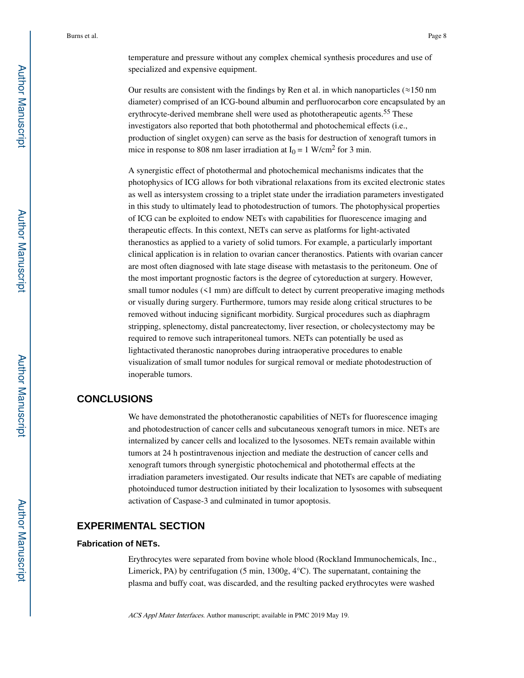temperature and pressure without any complex chemical synthesis procedures and use of specialized and expensive equipment.

Our results are consistent with the findings by Ren et al. in which nanoparticles ( $\approx$ 150 nm diameter) comprised of an ICG-bound albumin and perfluorocarbon core encapsulated by an erythrocyte-derived membrane shell were used as phototherapeutic agents.<sup>55</sup> These investigators also reported that both photothermal and photochemical effects (i.e., production of singlet oxygen) can serve as the basis for destruction of xenograft tumors in mice in response to 808 nm laser irradiation at  $I_0 = 1$  W/cm<sup>2</sup> for 3 min.

A synergistic effect of photothermal and photochemical mechanisms indicates that the photophysics of ICG allows for both vibrational relaxations from its excited electronic states as well as intersystem crossing to a triplet state under the irradiation parameters investigated in this study to ultimately lead to photodestruction of tumors. The photophysical properties of ICG can be exploited to endow NETs with capabilities for fluorescence imaging and therapeutic effects. In this context, NETs can serve as platforms for light-activated theranostics as applied to a variety of solid tumors. For example, a particularly important clinical application is in relation to ovarian cancer theranostics. Patients with ovarian cancer are most often diagnosed with late stage disease with metastasis to the peritoneum. One of the most important prognostic factors is the degree of cytoreduction at surgery. However, small tumor nodules ( $\leq 1$  mm) are diffcult to detect by current preoperative imaging methods or visually during surgery. Furthermore, tumors may reside along critical structures to be removed without inducing significant morbidity. Surgical procedures such as diaphragm stripping, splenectomy, distal pancreatectomy, liver resection, or cholecystectomy may be required to remove such intraperitoneal tumors. NETs can potentially be used as lightactivated theranostic nanoprobes during intraoperative procedures to enable visualization of small tumor nodules for surgical removal or mediate photodestruction of inoperable tumors.

## **CONCLUSIONS**

We have demonstrated the phototheranostic capabilities of NETs for fluorescence imaging and photodestruction of cancer cells and subcutaneous xenograft tumors in mice. NETs are internalized by cancer cells and localized to the lysosomes. NETs remain available within tumors at 24 h postintravenous injection and mediate the destruction of cancer cells and xenograft tumors through synergistic photochemical and photothermal effects at the irradiation parameters investigated. Our results indicate that NETs are capable of mediating photoinduced tumor destruction initiated by their localization to lysosomes with subsequent activation of Caspase-3 and culminated in tumor apoptosis.

## **EXPERIMENTAL SECTION**

#### **Fabrication of NETs.**

Erythrocytes were separated from bovine whole blood (Rockland Immunochemicals, Inc., Limerick, PA) by centrifugation (5 min,  $1300g, 4^{\circ}$ C). The supernatant, containing the plasma and buffy coat, was discarded, and the resulting packed erythrocytes were washed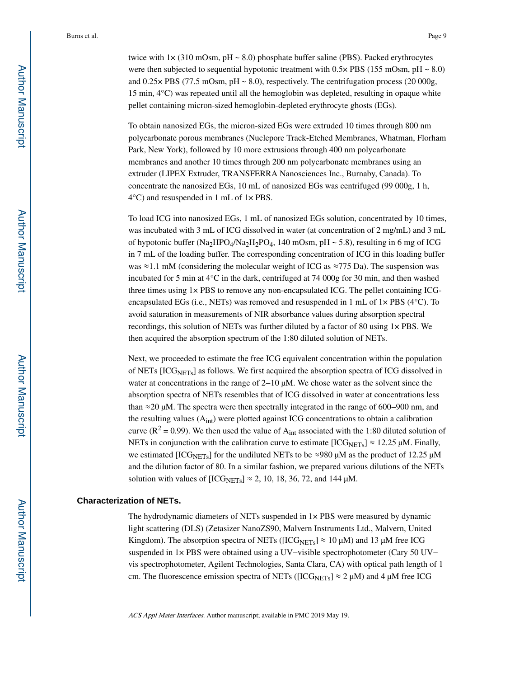twice with  $1\times$  (310 mOsm, pH  $\sim$  8.0) phosphate buffer saline (PBS). Packed erythrocytes were then subjected to sequential hypotonic treatment with  $0.5\times$  PBS (155 mOsm, pH ~ 8.0) and  $0.25 \times$  PBS (77.5 mOsm, pH  $\sim$  8.0), respectively. The centrifugation process (20 000g, 15 min, 4°C) was repeated until all the hemoglobin was depleted, resulting in opaque white pellet containing micron-sized hemoglobin-depleted erythrocyte ghosts (EGs).

To obtain nanosized EGs, the micron-sized EGs were extruded 10 times through 800 nm polycarbonate porous membranes (Nuclepore Track-Etched Membranes, Whatman, Florham Park, New York), followed by 10 more extrusions through 400 nm polycarbonate membranes and another 10 times through 200 nm polycarbonate membranes using an extruder (LIPEX Extruder, TRANSFERRA Nanosciences Inc., Burnaby, Canada). To concentrate the nanosized EGs, 10 mL of nanosized EGs was centrifuged (99 000g, 1 h, 4°C) and resuspended in 1 mL of 1× PBS.

To load ICG into nanosized EGs, 1 mL of nanosized EGs solution, concentrated by 10 times, was incubated with 3 mL of ICG dissolved in water (at concentration of 2 mg/mL) and 3 mL of hypotonic buffer (Na<sub>2</sub>HPO<sub>4</sub>/Na<sub>2</sub>H<sub>2</sub>PO<sub>4</sub>, 140 mOsm, pH  $\sim$  5.8), resulting in 6 mg of ICG in 7 mL of the loading buffer. The corresponding concentration of ICG in this loading buffer was  $\approx$  1.1 mM (considering the molecular weight of ICG as  $\approx$ 775 Da). The suspension was incubated for 5 min at 4°C in the dark, centrifuged at 74 000g for 30 min, and then washed three times using 1× PBS to remove any non-encapsulated ICG. The pellet containing ICGencapsulated EGs (i.e., NETs) was removed and resuspended in 1 mL of  $1 \times PBS$  (4 $\degree$ C). To avoid saturation in measurements of NIR absorbance values during absorption spectral recordings, this solution of NETs was further diluted by a factor of 80 using 1× PBS. We then acquired the absorption spectrum of the 1:80 diluted solution of NETs.

Next, we proceeded to estimate the free ICG equivalent concentration within the population of NETs [ICG<sub>NETs</sub>] as follows. We first acquired the absorption spectra of ICG dissolved in water at concentrations in the range of 2−10 μM. We chose water as the solvent since the absorption spectra of NETs resembles that of ICG dissolved in water at concentrations less than ≈20 μM. The spectra were then spectrally integrated in the range of 600−900 nm, and the resulting values  $(A_{int})$  were plotted against ICG concentrations to obtain a calibration curve ( $\mathbb{R}^2 = 0.99$ ). We then used the value of  $A_{int}$  associated with the 1:80 diluted solution of NETs in conjunction with the calibration curve to estimate  $[ICG<sub>NETs</sub>] \approx 12.25 \mu M$ . Finally, we estimated  $[ICG<sub>NETs</sub>]$  for the undiluted NETs to be ≈980  $\mu$ M as the product of 12.25  $\mu$ M and the dilution factor of 80. In a similar fashion, we prepared various dilutions of the NETs solution with values of  $[ICG<sub>NETs</sub>] \approx 2, 10, 18, 36, 72,$  and 144  $\mu$ M.

#### **Characterization of NETs.**

The hydrodynamic diameters of NETs suspended in  $1 \times PBS$  were measured by dynamic light scattering (DLS) (Zetasizer NanoZS90, Malvern Instruments Ltd., Malvern, United Kingdom). The absorption spectra of NETs ([ICG<sub>NETs</sub>]  $\approx 10 \mu$ M) and 13  $\mu$ M free ICG suspended in 1× PBS were obtained using a UV–visible spectrophotometer (Cary 50 UV– vis spectrophotometer, Agilent Technologies, Santa Clara, CA) with optical path length of 1 cm. The fluorescence emission spectra of NETs ([ICG<sub>NETs</sub>]  $\approx$  2  $\mu$ M) and 4  $\mu$ M free ICG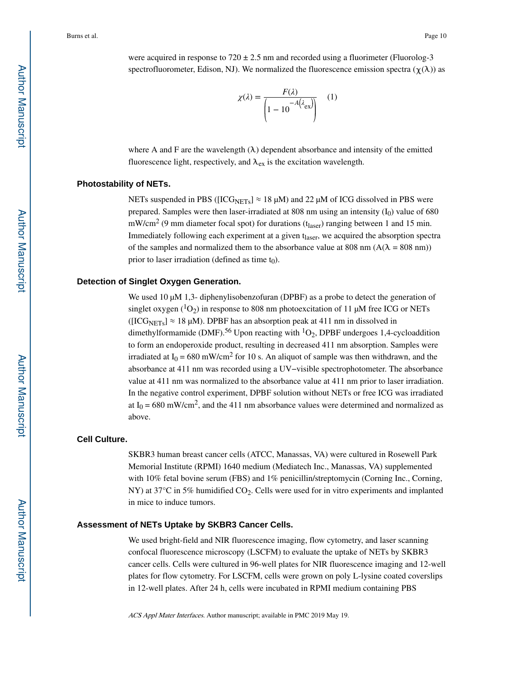were acquired in response to  $720 \pm 2.5$  nm and recorded using a fluorimeter (Fluorolog-3 spectrofluorometer, Edison, NJ). We normalized the fluorescence emission spectra ( $\chi(\lambda)$ ) as

$$
\chi(\lambda) = \frac{F(\lambda)}{\left(1 - 10^{-A(\lambda_{\text{ex}})}\right)} \quad (1)
$$

where A and F are the wavelength  $(\lambda)$  dependent absorbance and intensity of the emitted fluorescence light, respectively, and  $\lambda_{ex}$  is the excitation wavelength.

#### **Photostability of NETs.**

NETs suspended in PBS ( $[ICG<sub>NETs</sub>] \approx 18 \mu M$ ) and 22  $\mu M$  of ICG dissolved in PBS were prepared. Samples were then laser-irradiated at 808 nm using an intensity  $(I_0)$  value of 680 mW/cm<sup>2</sup> (9 mm diameter focal spot) for durations ( $t_{laser}$ ) ranging between 1 and 15 min. Immediately following each experiment at a given t<sub>laser</sub>, we acquired the absorption spectra of the samples and normalized them to the absorbance value at 808 nm ( $A(\lambda = 808 \text{ nm}))$ prior to laser irradiation (defined as time  $t_0$ ).

#### **Detection of Singlet Oxygen Generation.**

We used 10 μM 1,3- diphenylisobenzofuran (DPBF) as a probe to detect the generation of singlet oxygen  $(^{1}O_{2})$  in response to 808 nm photoexcitation of 11 μM free ICG or NETs ( $[ICG<sub>NETs</sub>] \approx 18 \mu M$ ). DPBF has an absorption peak at 411 nm in dissolved in dimethylformamide (DMF).<sup>56</sup> Upon reacting with <sup>1</sup>O<sub>2</sub>, DPBF undergoes 1,4-cycloaddition to form an endoperoxide product, resulting in decreased 411 nm absorption. Samples were irradiated at  $I_0 = 680$  mW/cm<sup>2</sup> for 10 s. An aliquot of sample was then withdrawn, and the absorbance at 411 nm was recorded using a UV−visible spectrophotometer. The absorbance value at 411 nm was normalized to the absorbance value at 411 nm prior to laser irradiation. In the negative control experiment, DPBF solution without NETs or free ICG was irradiated at  $I_0 = 680$  mW/cm<sup>2</sup>, and the 411 nm absorbance values were determined and normalized as above.

#### **Cell Culture.**

SKBR3 human breast cancer cells (ATCC, Manassas, VA) were cultured in Rosewell Park Memorial Institute (RPMI) 1640 medium (Mediatech Inc., Manassas, VA) supplemented with 10% fetal bovine serum (FBS) and 1% penicillin/streptomycin (Corning Inc., Corning, NY) at 37 $\degree$ C in 5% humidified CO<sub>2</sub>. Cells were used for in vitro experiments and implanted in mice to induce tumors.

#### **Assessment of NETs Uptake by SKBR3 Cancer Cells.**

We used bright-field and NIR fluorescence imaging, flow cytometry, and laser scanning confocal fluorescence microscopy (LSCFM) to evaluate the uptake of NETs by SKBR3 cancer cells. Cells were cultured in 96-well plates for NIR fluorescence imaging and 12-well plates for flow cytometry. For LSCFM, cells were grown on poly L-lysine coated coverslips in 12-well plates. After 24 h, cells were incubated in RPMI medium containing PBS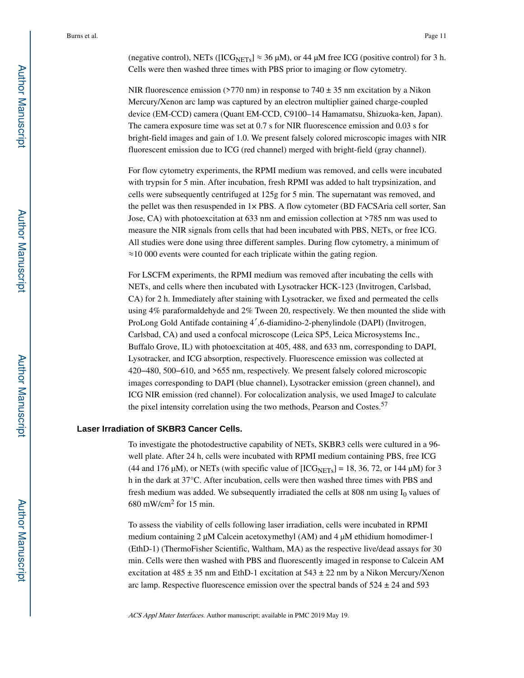(negative control), NETs ( $[ICG<sub>NETs</sub>] \approx 36 \mu M$ ), or 44  $\mu$ M free ICG (positive control) for 3 h. Cells were then washed three times with PBS prior to imaging or flow cytometry.

NIR fluorescence emission (>770 nm) in response to  $740 \pm 35$  nm excitation by a Nikon Mercury/Xenon arc lamp was captured by an electron multiplier gained charge-coupled device (EM-CCD) camera (Quant EM-CCD, C9100–14 Hamamatsu, Shizuoka-ken, Japan). The camera exposure time was set at 0.7 s for NIR fluorescence emission and 0.03 s for bright-field images and gain of 1.0. We present falsely colored microscopic images with NIR fluorescent emission due to ICG (red channel) merged with bright-field (gray channel).

For flow cytometry experiments, the RPMI medium was removed, and cells were incubated with trypsin for 5 min. After incubation, fresh RPMI was added to halt trypsinization, and cells were subsequently centrifuged at 125g for 5 min. The supernatant was removed, and the pellet was then resuspended in 1× PBS. A flow cytometer (BD FACSAria cell sorter, San Jose, CA) with photoexcitation at 633 nm and emission collection at >785 nm was used to measure the NIR signals from cells that had been incubated with PBS, NETs, or free ICG. All studies were done using three different samples. During flow cytometry, a minimum of ≈10 000 events were counted for each triplicate within the gating region.

For LSCFM experiments, the RPMI medium was removed after incubating the cells with NETs, and cells where then incubated with Lysotracker HCK-123 (Invitrogen, Carlsbad, CA) for 2 h. Immediately after staining with Lysotracker, we fixed and permeated the cells using 4% paraformaldehyde and 2% Tween 20, respectively. We then mounted the slide with ProLong Gold Antifade containing 4′,6-diamidino-2-phenylindole (DAPI) (Invitrogen, Carlsbad, CA) and used a confocal microscope (Leica SP5, Leica Microsystems Inc., Buffalo Grove, IL) with photoexcitation at 405, 488, and 633 nm, corresponding to DAPI, Lysotracker, and ICG absorption, respectively. Fluorescence emission was collected at 420−480, 500−610, and >655 nm, respectively. We present falsely colored microscopic images corresponding to DAPI (blue channel), Lysotracker emission (green channel), and ICG NIR emission (red channel). For colocalization analysis, we used ImageJ to calculate the pixel intensity correlation using the two methods, Pearson and Costes.<sup>57</sup>

#### **Laser Irradiation of SKBR3 Cancer Cells.**

To investigate the photodestructive capability of NETs, SKBR3 cells were cultured in a 96 well plate. After 24 h, cells were incubated with RPMI medium containing PBS, free ICG (44 and 176 μM), or NETs (with specific value of  $[ICG<sub>NETS</sub>] = 18, 36, 72,$  or 144 μM) for 3 h in the dark at 37°C. After incubation, cells were then washed three times with PBS and fresh medium was added. We subsequently irradiated the cells at 808 nm using  $I_0$  values of  $680$  mW/cm<sup>2</sup> for 15 min.

To assess the viability of cells following laser irradiation, cells were incubated in RPMI medium containing 2 μM Calcein acetoxymethyl (AM) and 4 μM ethidium homodimer-1 (EthD-1) (ThermoFisher Scientific, Waltham, MA) as the respective live/dead assays for 30 min. Cells were then washed with PBS and fluorescently imaged in response to Calcein AM excitation at  $485 \pm 35$  nm and EthD-1 excitation at  $543 \pm 22$  nm by a Nikon Mercury/Xenon arc lamp. Respective fluorescence emission over the spectral bands of  $524 \pm 24$  and  $593$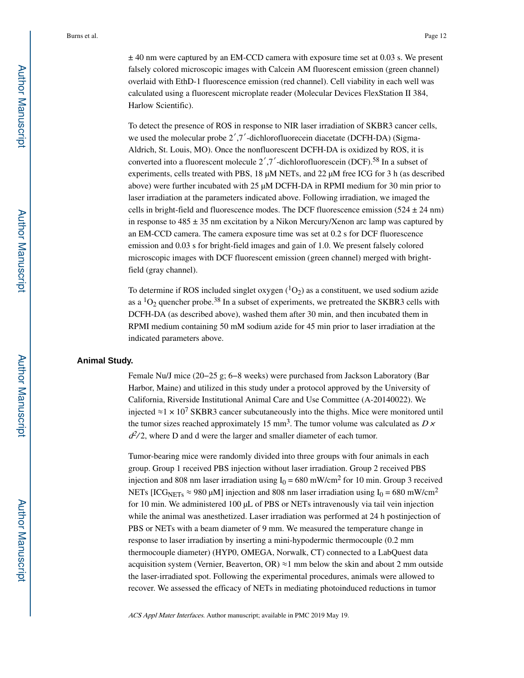$\pm$  40 nm were captured by an EM-CCD camera with exposure time set at 0.03 s. We present falsely colored microscopic images with Calcein AM fluorescent emission (green channel) overlaid with EthD-1 fluorescence emission (red channel). Cell viability in each well was calculated using a fluorescent microplate reader (Molecular Devices FlexStation II 384, Harlow Scientific).

To detect the presence of ROS in response to NIR laser irradiation of SKBR3 cancer cells, we used the molecular probe 2′,7′-dichlorofluorecein diacetate (DCFH-DA) (Sigma-Aldrich, St. Louis, MO). Once the nonfluorescent DCFH-DA is oxidized by ROS, it is converted into a fluorescent molecule  $2', 7'$ -dichlorofluorescein (DCF).<sup>58</sup> In a subset of experiments, cells treated with PBS, 18 μM NETs, and 22 μM free ICG for 3 h (as described above) were further incubated with 25 μM DCFH-DA in RPMI medium for 30 min prior to laser irradiation at the parameters indicated above. Following irradiation, we imaged the cells in bright-field and fluorescence modes. The DCF fluorescence emission  $(524 \pm 24 \text{ nm})$ in response to  $485 \pm 35$  nm excitation by a Nikon Mercury/Xenon arc lamp was captured by an EM-CCD camera. The camera exposure time was set at 0.2 s for DCF fluorescence emission and 0.03 s for bright-field images and gain of 1.0. We present falsely colored microscopic images with DCF fluorescent emission (green channel) merged with brightfield (gray channel).

To determine if ROS included singlet oxygen  $(^1O_2)$  as a constituent, we used sodium azide as a  ${}^{1}O_2$  quencher probe.<sup>38</sup> In a subset of experiments, we pretreated the SKBR3 cells with DCFH-DA (as described above), washed them after 30 min, and then incubated them in RPMI medium containing 50 mM sodium azide for 45 min prior to laser irradiation at the indicated parameters above.

#### **Animal Study.**

Female Nu/J mice (20−25 g; 6−8 weeks) were purchased from Jackson Laboratory (Bar Harbor, Maine) and utilized in this study under a protocol approved by the University of California, Riverside Institutional Animal Care and Use Committee (A-20140022). We injected ≈1 × 10<sup>7</sup> SKBR3 cancer subcutaneously into the thighs. Mice were monitored until the tumor sizes reached approximately 15 mm<sup>3</sup>. The tumor volume was calculated as  $D \times$  $d^2/2$ , where D and d were the larger and smaller diameter of each tumor.

Tumor-bearing mice were randomly divided into three groups with four animals in each group. Group 1 received PBS injection without laser irradiation. Group 2 received PBS injection and 808 nm laser irradiation using  $I_0 = 680$  mW/cm<sup>2</sup> for 10 min. Group 3 received NETs [ICG<sub>NETs</sub>  $\approx$  980 μM] injection and 808 nm laser irradiation using I<sub>0</sub> = 680 mW/cm<sup>2</sup> for 10 min. We administered 100 μL of PBS or NETs intravenously via tail vein injection while the animal was anesthetized. Laser irradiation was performed at 24 h postinjection of PBS or NETs with a beam diameter of 9 mm. We measured the temperature change in response to laser irradiation by inserting a mini-hypodermic thermocouple (0.2 mm thermocouple diameter) (HYP0, OMEGA, Norwalk, CT) connected to a LabQuest data acquisition system (Vernier, Beaverton, OR)  $\approx$ 1 mm below the skin and about 2 mm outside the laser-irradiated spot. Following the experimental procedures, animals were allowed to recover. We assessed the efficacy of NETs in mediating photoinduced reductions in tumor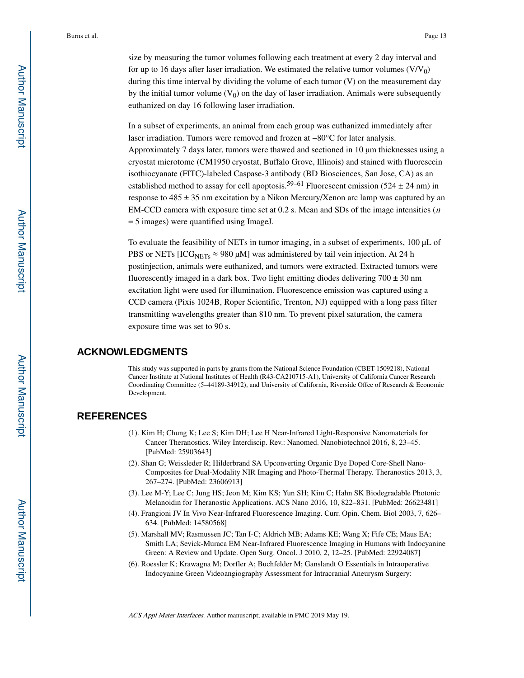size by measuring the tumor volumes following each treatment at every 2 day interval and for up to 16 days after laser irradiation. We estimated the relative tumor volumes  $(V/V_0)$ during this time interval by dividing the volume of each tumor (V) on the measurement day by the initial tumor volume  $(V_0)$  on the day of laser irradiation. Animals were subsequently euthanized on day 16 following laser irradiation.

In a subset of experiments, an animal from each group was euthanized immediately after laser irradiation. Tumors were removed and frozen at −80°C for later analysis. Approximately 7 days later, tumors were thawed and sectioned in 10 μm thicknesses using a cryostat microtome (CM1950 cryostat, Buffalo Grove, Illinois) and stained with fluorescein isothiocyanate (FITC)-labeled Caspase-3 antibody (BD Biosciences, San Jose, CA) as an established method to assay for cell apoptosis.<sup>59–61</sup> Fluorescent emission (524  $\pm$  24 nm) in response to  $485 \pm 35$  nm excitation by a Nikon Mercury/Xenon arc lamp was captured by an EM-CCD camera with exposure time set at  $0.2$  s. Mean and SDs of the image intensities ( $n$ ) = 5 images) were quantified using ImageJ.

To evaluate the feasibility of NETs in tumor imaging, in a subset of experiments, 100 μL of PBS or NETs [ICG<sub>NETs</sub>  $\approx$  980 µM] was administered by tail vein injection. At 24 h postinjection, animals were euthanized, and tumors were extracted. Extracted tumors were fluorescently imaged in a dark box. Two light emitting diodes delivering  $700 \pm 30$  nm excitation light were used for illumination. Fluorescence emission was captured using a CCD camera (Pixis 1024B, Roper Scientific, Trenton, NJ) equipped with a long pass filter transmitting wavelengths greater than 810 nm. To prevent pixel saturation, the camera exposure time was set to 90 s.

### **ACKNOWLEDGMENTS**

This study was supported in parts by grants from the National Science Foundation (CBET-1509218), National Cancer Institute at National Institutes of Health (R43-CA210715-A1), University of California Cancer Research Coordinating Committee (5–44189-34912), and University of California, Riverside Offce of Research & Economic Development.

## **REFERENCES**

- (1). Kim H; Chung K; Lee S; Kim DH; Lee H Near-Infrared Light-Responsive Nanomaterials for Cancer Theranostics. Wiley Interdiscip. Rev.: Nanomed. Nanobiotechnol 2016, 8, 23–45. [PubMed: 25903643]
- (2). Shan G; Weissleder R; Hilderbrand SA Upconverting Organic Dye Doped Core-Shell Nano-Composites for Dual-Modality NIR Imaging and Photo-Thermal Therapy. Theranostics 2013, 3, 267–274. [PubMed: 23606913]
- (3). Lee M-Y; Lee C; Jung HS; Jeon M; Kim KS; Yun SH; Kim C; Hahn SK Biodegradable Photonic Melanoidin for Theranostic Applications. ACS Nano 2016, 10, 822–831. [PubMed: 26623481]
- (4). Frangioni JV In Vivo Near-Infrared Fluorescence Imaging. Curr. Opin. Chem. Biol 2003, 7, 626– 634. [PubMed: 14580568]
- (5). Marshall MV; Rasmussen JC; Tan I-C; Aldrich MB; Adams KE; Wang X; Fife CE; Maus EA; Smith LA; Sevick-Muraca EM Near-Infrared Fluorescence Imaging in Humans with Indocyanine Green: A Review and Update. Open Surg. Oncol. J 2010, 2, 12–25. [PubMed: 22924087]
- (6). Roessler K; Krawagna M; Dorfler A; Buchfelder M; Ganslandt O Essentials in Intraoperative Indocyanine Green Videoangiography Assessment for Intracranial Aneurysm Surgery: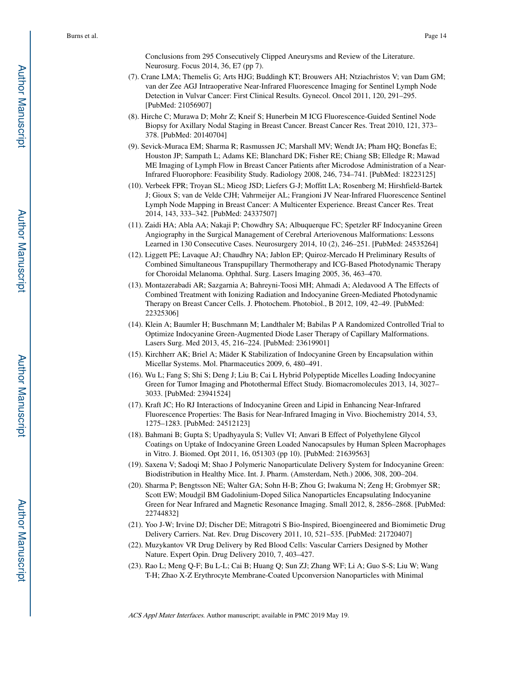Conclusions from 295 Consecutively Clipped Aneurysms and Review of the Literature. Neurosurg. Focus 2014, 36, E7 (pp 7).

- (7). Crane LMA; Themelis G; Arts HJG; Buddingh KT; Brouwers AH; Ntziachristos V; van Dam GM; van der Zee AGJ Intraoperative Near-Infrared Fluorescence Imaging for Sentinel Lymph Node Detection in Vulvar Cancer: First Clinical Results. Gynecol. Oncol 2011, 120, 291–295. [PubMed: 21056907]
- (8). Hirche C; Murawa D; Mohr Z; Kneif S; Hunerbein M ICG Fluorescence-Guided Sentinel Node Biopsy for Axillary Nodal Staging in Breast Cancer. Breast Cancer Res. Treat 2010, 121, 373– 378. [PubMed: 20140704]
- (9). Sevick-Muraca EM; Sharma R; Rasmussen JC; Marshall MV; Wendt JA; Pham HQ; Bonefas E; Houston JP; Sampath L; Adams KE; Blanchard DK; Fisher RE; Chiang SB; Elledge R; Mawad ME Imaging of Lymph Flow in Breast Cancer Patients after Microdose Administration of a Near-Infrared Fluorophore: Feasibility Study. Radiology 2008, 246, 734–741. [PubMed: 18223125]
- (10). Verbeek FPR; Troyan SL; Mieog JSD; Liefers G-J; Moffitt LA; Rosenberg M; Hirshfield-Bartek J; Gioux S; van de Velde CJH; Vahrmeijer AL; Frangioni JV Near-Infrared Fluorescence Sentinel Lymph Node Mapping in Breast Cancer: A Multicenter Experience. Breast Cancer Res. Treat 2014, 143, 333–342. [PubMed: 24337507]
- (11). Zaidi HA; Abla AA; Nakaji P; Chowdhry SA; Albuquerque FC; Spetzler RF Indocyanine Green Angiography in the Surgical Management of Cerebral Arteriovenous Malformations: Lessons Learned in 130 Consecutive Cases. Neurosurgery 2014, 10 (2), 246–251. [PubMed: 24535264]
- (12). Liggett PE; Lavaque AJ; Chaudhry NA; Jablon EP; Quiroz-Mercado H Preliminary Results of Combined Simultaneous Transpupillary Thermotherapy and ICG-Based Photodynamic Therapy for Choroidal Melanoma. Ophthal. Surg. Lasers Imaging 2005, 36, 463–470.
- (13). Montazerabadi AR; Sazgarnia A; Bahreyni-Toosi MH; Ahmadi A; Aledavood A The Effects of Combined Treatment with Ionizing Radiation and Indocyanine Green-Mediated Photodynamic Therapy on Breast Cancer Cells. J. Photochem. Photobiol., B 2012, 109, 42–49. [PubMed: 22325306]
- (14). Klein A; Baumler H; Buschmann M; Landthaler M; Babilas P A Randomized Controlled Trial to Optimize Indocyanine Green-Augmented Diode Laser Therapy of Capillary Malformations. Lasers Surg. Med 2013, 45, 216–224. [PubMed: 23619901]
- (15). Kirchherr AK; Briel A; Mäder K Stabilization of Indocyanine Green by Encapsulation within Micellar Systems. Mol. Pharmaceutics 2009, 6, 480–491.
- (16). Wu L; Fang S; Shi S; Deng J; Liu B; Cai L Hybrid Polypeptide Micelles Loading Indocyanine Green for Tumor Imaging and Photothermal Effect Study. Biomacromolecules 2013, 14, 3027– 3033. [PubMed: 23941524]
- (17). Kraft JC; Ho RJ Interactions of Indocyanine Green and Lipid in Enhancing Near-Infrared Fluorescence Properties: The Basis for Near-Infrared Imaging in Vivo. Biochemistry 2014, 53, 1275–1283. [PubMed: 24512123]
- (18). Bahmani B; Gupta S; Upadhyayula S; Vullev VI; Anvari B Effect of Polyethylene Glycol Coatings on Uptake of Indocyanine Green Loaded Nanocapsules by Human Spleen Macrophages in Vitro. J. Biomed. Opt 2011, 16, 051303 (pp 10). [PubMed: 21639563]
- (19). Saxena V; Sadoqi M; Shao J Polymeric Nanoparticulate Delivery System for Indocyanine Green: Biodistribution in Healthy Mice. Int. J. Pharm. (Amsterdam, Neth.) 2006, 308, 200–204.
- (20). Sharma P; Bengtsson NE; Walter GA; Sohn H-B; Zhou G; Iwakuma N; Zeng H; Grobmyer SR; Scott EW; Moudgil BM Gadolinium-Doped Silica Nanoparticles Encapsulating Indocyanine Green for Near Infrared and Magnetic Resonance Imaging. Small 2012, 8, 2856–2868. [PubMed: 22744832]
- (21). Yoo J-W; Irvine DJ; Discher DE; Mitragotri S Bio-Inspired, Bioengineered and Biomimetic Drug Delivery Carriers. Nat. Rev. Drug Discovery 2011, 10, 521–535. [PubMed: 21720407]
- (22). Muzykantov VR Drug Delivery by Red Blood Cells: Vascular Carriers Designed by Mother Nature. Expert Opin. Drug Delivery 2010, 7, 403–427.
- (23). Rao L; Meng Q-F; Bu L-L; Cai B; Huang Q; Sun ZJ; Zhang WF; Li A; Guo S-S; Liu W; Wang T-H; Zhao X-Z Erythrocyte Membrane-Coated Upconversion Nanoparticles with Minimal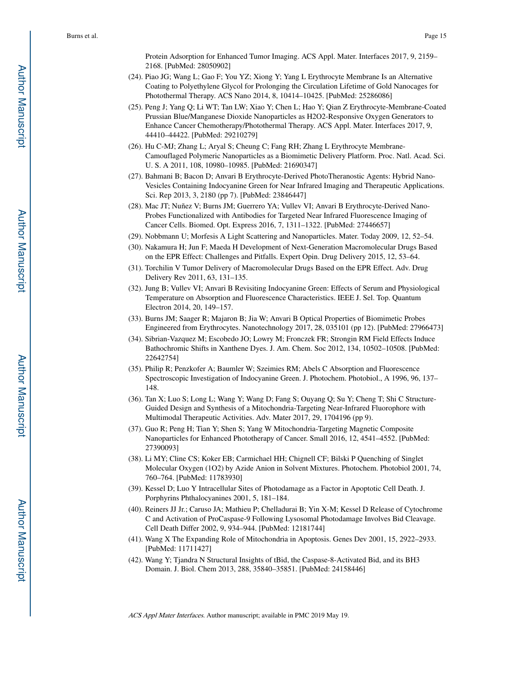Protein Adsorption for Enhanced Tumor Imaging. ACS Appl. Mater. Interfaces 2017, 9, 2159– 2168. [PubMed: 28050902]

- (24). Piao JG; Wang L; Gao F; You YZ; Xiong Y; Yang L Erythrocyte Membrane Is an Alternative Coating to Polyethylene Glycol for Prolonging the Circulation Lifetime of Gold Nanocages for Photothermal Therapy. ACS Nano 2014, 8, 10414–10425. [PubMed: 25286086]
- (25). Peng J; Yang Q; Li WT; Tan LW; Xiao Y; Chen L; Hao Y; Qian Z Erythrocyte-Membrane-Coated Prussian Blue/Manganese Dioxide Nanoparticles as H2O2-Responsive Oxygen Generators to Enhance Cancer Chemotherapy/Photothermal Therapy. ACS Appl. Mater. Interfaces 2017, 9, 44410–44422. [PubMed: 29210279]
- (26). Hu C-MJ; Zhang L; Aryal S; Cheung C; Fang RH; Zhang L Erythrocyte Membrane-Camouflaged Polymeric Nanoparticles as a Biomimetic Delivery Platform. Proc. Natl. Acad. Sci. U. S. A 2011, 108, 10980–10985. [PubMed: 21690347]
- (27). Bahmani B; Bacon D; Anvari B Erythrocyte-Derived PhotoTheranostic Agents: Hybrid Nano-Vesicles Containing Indocyanine Green for Near Infrared Imaging and Therapeutic Applications. Sci. Rep 2013, 3, 2180 (pp 7). [PubMed: 23846447]
- (28). Mac JT; Nuñez V; Burns JM; Guerrero YA; Vullev VI; Anvari B Erythrocyte-Derived Nano-Probes Functionalized with Antibodies for Targeted Near Infrared Fluorescence Imaging of Cancer Cells. Biomed. Opt. Express 2016, 7, 1311–1322. [PubMed: 27446657]
- (29). Nobbmann U; Morfesis A Light Scattering and Nanoparticles. Mater. Today 2009, 12, 52–54.
- (30). Nakamura H; Jun F; Maeda H Development of Next-Generation Macromolecular Drugs Based on the EPR Effect: Challenges and Pitfalls. Expert Opin. Drug Delivery 2015, 12, 53–64.
- (31). Torchilin V Tumor Delivery of Macromolecular Drugs Based on the EPR Effect. Adv. Drug Delivery Rev 2011, 63, 131–135.
- (32). Jung B; Vullev VI; Anvari B Revisiting Indocyanine Green: Effects of Serum and Physiological Temperature on Absorption and Fluorescence Characteristics. IEEE J. Sel. Top. Quantum Electron 2014, 20, 149–157.
- (33). Burns JM; Saager R; Majaron B; Jia W; Anvari B Optical Properties of Biomimetic Probes Engineered from Erythrocytes. Nanotechnology 2017, 28, 035101 (pp 12). [PubMed: 27966473]
- (34). Sibrian-Vazquez M; Escobedo JO; Lowry M; Fronczek FR; Strongin RM Field Effects Induce Bathochromic Shifts in Xanthene Dyes. J. Am. Chem. Soc 2012, 134, 10502–10508. [PubMed: 22642754]
- (35). Philip R; Penzkofer A; Baumler W; Szeimies RM; Abels C Absorption and Fluorescence Spectroscopic Investigation of Indocyanine Green. J. Photochem. Photobiol., A 1996, 96, 137– 148.
- (36). Tan X; Luo S; Long L; Wang Y; Wang D; Fang S; Ouyang Q; Su Y; Cheng T; Shi C Structure-Guided Design and Synthesis of a Mitochondria-Targeting Near-Infrared Fluorophore with Multimodal Therapeutic Activities. Adv. Mater 2017, 29, 1704196 (pp 9).
- (37). Guo R; Peng H; Tian Y; Shen S; Yang W Mitochondria-Targeting Magnetic Composite Nanoparticles for Enhanced Phototherapy of Cancer. Small 2016, 12, 4541–4552. [PubMed: 27390093]
- (38). Li MY; Cline CS; Koker EB; Carmichael HH; Chignell CF; Bilski P Quenching of Singlet Molecular Oxygen (1O2) by Azide Anion in Solvent Mixtures. Photochem. Photobiol 2001, 74, 760–764. [PubMed: 11783930]
- (39). Kessel D; Luo Y Intracellular Sites of Photodamage as a Factor in Apoptotic Cell Death. J. Porphyrins Phthalocyanines 2001, 5, 181–184.
- (40). Reiners JJ Jr.; Caruso JA; Mathieu P; Chelladurai B; Yin X-M; Kessel D Release of Cytochrome C and Activation of ProCaspase-9 Following Lysosomal Photodamage Involves Bid Cleavage. Cell Death Differ 2002, 9, 934–944. [PubMed: 12181744]
- (41). Wang X The Expanding Role of Mitochondria in Apoptosis. Genes Dev 2001, 15, 2922–2933. [PubMed: 11711427]
- (42). Wang Y; Tjandra N Structural Insights of tBid, the Caspase-8-Activated Bid, and its BH3 Domain. J. Biol. Chem 2013, 288, 35840–35851. [PubMed: 24158446]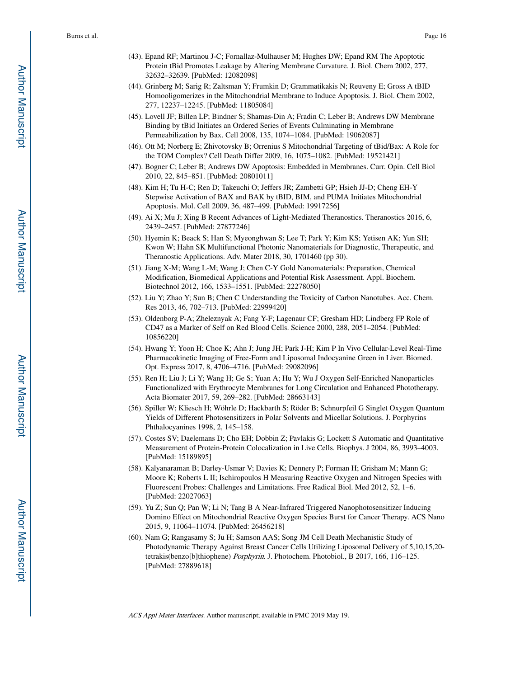- (43). Epand RF; Martinou J-C; Fornallaz-Mulhauser M; Hughes DW; Epand RM The Apoptotic Protein tBid Promotes Leakage by Altering Membrane Curvature. J. Biol. Chem 2002, 277, 32632–32639. [PubMed: 12082098]
- (44). Grinberg M; Sarig R; Zaltsman Y; Frumkin D; Grammatikakis N; Reuveny E; Gross A tBID Homooligomerizes in the Mitochondrial Membrane to Induce Apoptosis. J. Biol. Chem 2002, 277, 12237–12245. [PubMed: 11805084]
- (45). Lovell JF; Billen LP; Bindner S; Shamas-Din A; Fradin C; Leber B; Andrews DW Membrane Binding by tBid Initiates an Ordered Series of Events Culminating in Membrane Permeabilization by Bax. Cell 2008, 135, 1074–1084. [PubMed: 19062087]
- (46). Ott M; Norberg E; Zhivotovsky B; Orrenius S Mitochondrial Targeting of tBid/Bax: A Role for the TOM Complex? Cell Death Differ 2009, 16, 1075–1082. [PubMed: 19521421]
- (47). Bogner C; Leber B; Andrews DW Apoptosis: Embedded in Membranes. Curr. Opin. Cell Biol 2010, 22, 845–851. [PubMed: 20801011]
- (48). Kim H; Tu H-C; Ren D; Takeuchi O; Jeffers JR; Zambetti GP; Hsieh JJ-D; Cheng EH-Y Stepwise Activation of BAX and BAK by tBID, BIM, and PUMA Initiates Mitochondrial Apoptosis. Mol. Cell 2009, 36, 487–499. [PubMed: 19917256]
- (49). Ai X; Mu J; Xing B Recent Advances of Light-Mediated Theranostics. Theranostics 2016, 6, 2439–2457. [PubMed: 27877246]
- (50). Hyemin K; Beack S; Han S; Myeonghwan S; Lee T; Park Y; Kim KS; Yetisen AK; Yun SH; Kwon W; Hahn SK Multifunctional Photonic Nanomaterials for Diagnostic, Therapeutic, and Theranostic Applications. Adv. Mater 2018, 30, 1701460 (pp 30).
- (51). Jiang X-M; Wang L-M; Wang J; Chen C-Y Gold Nanomaterials: Preparation, Chemical Modification, Biomedical Applications and Potential Risk Assessment. Appl. Biochem. Biotechnol 2012, 166, 1533–1551. [PubMed: 22278050]
- (52). Liu Y; Zhao Y; Sun B; Chen C Understanding the Toxicity of Carbon Nanotubes. Acc. Chem. Res 2013, 46, 702–713. [PubMed: 22999420]
- (53). Oldenborg P-A; Zheleznyak A; Fang Y-F; Lagenaur CF; Gresham HD; Lindberg FP Role of CD47 as a Marker of Self on Red Blood Cells. Science 2000, 288, 2051–2054. [PubMed: 10856220]
- (54). Hwang Y; Yoon H; Choe K; Ahn J; Jung JH; Park J-H; Kim P In Vivo Cellular-Level Real-Time Pharmacokinetic Imaging of Free-Form and Liposomal Indocyanine Green in Liver. Biomed. Opt. Express 2017, 8, 4706–4716. [PubMed: 29082096]
- (55). Ren H; Liu J; Li Y; Wang H; Ge S; Yuan A; Hu Y; Wu J Oxygen Self-Enriched Nanoparticles Functionalized with Erythrocyte Membranes for Long Circulation and Enhanced Phototherapy. Acta Biomater 2017, 59, 269–282. [PubMed: 28663143]
- (56). Spiller W; Kliesch H; Wöhrle D; Hackbarth S; Röder B; Schnurpfeil G Singlet Oxygen Quantum Yields of Different Photosensitizers in Polar Solvents and Micellar Solutions. J. Porphyrins Phthalocyanines 1998, 2, 145–158.
- (57). Costes SV; Daelemans D; Cho EH; Dobbin Z; Pavlakis G; Lockett S Automatic and Quantitative Measurement of Protein-Protein Colocalization in Live Cells. Biophys. J 2004, 86, 3993–4003. [PubMed: 15189895]
- (58). Kalyanaraman B; Darley-Usmar V; Davies K; Dennery P; Forman H; Grisham M; Mann G; Moore K; Roberts L II; Ischiropoulos H Measuring Reactive Oxygen and Nitrogen Species with Fluorescent Probes: Challenges and Limitations. Free Radical Biol. Med 2012, 52, 1–6. [PubMed: 22027063]
- (59). Yu Z; Sun Q; Pan W; Li N; Tang B A Near-Infrared Triggered Nanophotosensitizer Inducing Domino Effect on Mitochondrial Reactive Oxygen Species Burst for Cancer Therapy. ACS Nano 2015, 9, 11064–11074. [PubMed: 26456218]
- (60). Nam G; Rangasamy S; Ju H; Samson AAS; Song JM Cell Death Mechanistic Study of Photodynamic Therapy Against Breast Cancer Cells Utilizing Liposomal Delivery of 5,10,15,20 tetrakis(benzo[b]thiophene) Porphyrin. J. Photochem. Photobiol., B 2017, 166, 116–125. [PubMed: 27889618]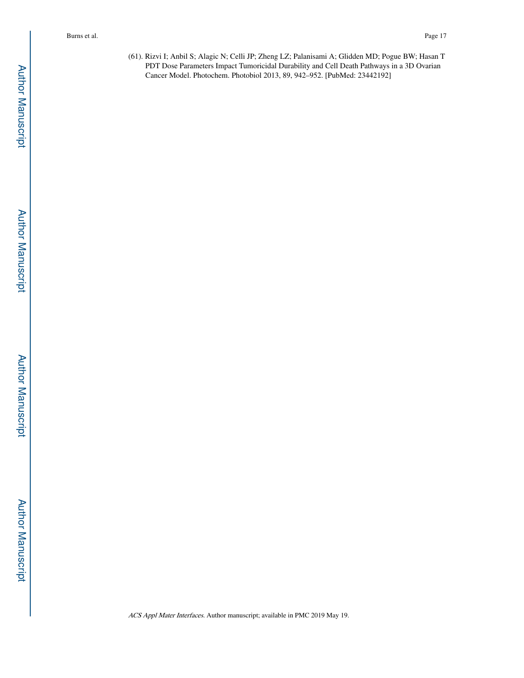(61). Rizvi I; Anbil S; Alagic N; Celli JP; Zheng LZ; Palanisami A; Glidden MD; Pogue BW; Hasan T PDT Dose Parameters Impact Tumoricidal Durability and Cell Death Pathways in a 3D Ovarian Cancer Model. Photochem. Photobiol 2013, 89, 942–952. [PubMed: 23442192]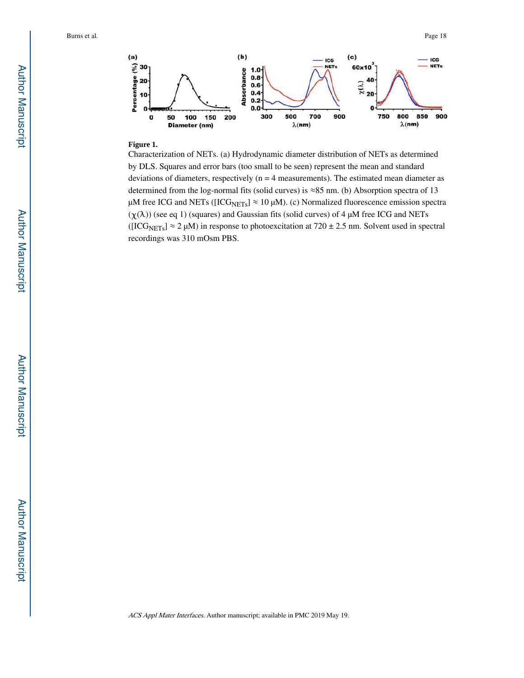

#### **Figure 1.**

Characterization of NETs. (a) Hydrodynamic diameter distribution of NETs as determined by DLS. Squares and error bars (too small to be seen) represent the mean and standard deviations of diameters, respectively  $(n = 4$  measurements). The estimated mean diameter as determined from the log-normal fits (solid curves) is ≈85 nm. (b) Absorption spectra of 13 μM free ICG and NETs ([ICG<sub>NETs</sub>]  $\approx$  10 μM). (c) Normalized fluorescence emission spectra  $(\chi(\lambda))$  (see eq 1) (squares) and Gaussian fits (solid curves) of 4 μM free ICG and NETs ( $[ICG<sub>NETs</sub>] \approx 2 \mu M$ ) in response to photoexcitation at 720 ± 2.5 nm. Solvent used in spectral recordings was 310 mOsm PBS.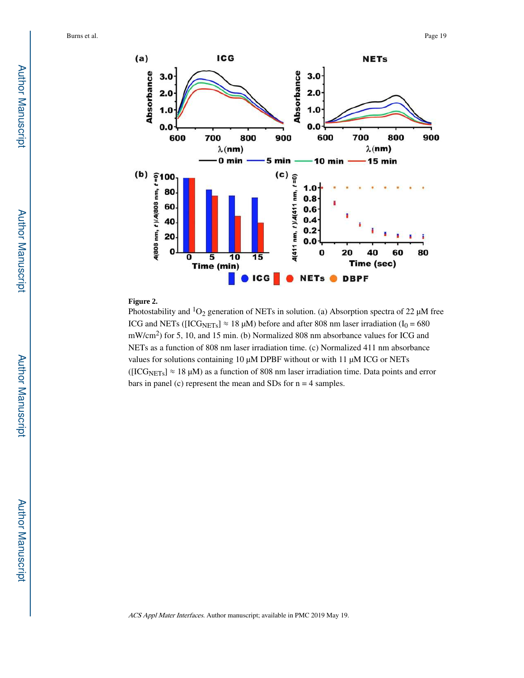

## **Figure 2.**

Photostability and  ${}^{1}O_{2}$  generation of NETs in solution. (a) Absorption spectra of 22 μM free ICG and NETs ([ICG<sub>NETs</sub>]  $\approx$  18  $\mu$ M) before and after 808 nm laser irradiation (I<sub>0</sub> = 680 mW/cm<sup>2</sup>) for 5, 10, and 15 min. (b) Normalized 808 nm absorbance values for ICG and NETs as a function of 808 nm laser irradiation time. (c) Normalized 411 nm absorbance values for solutions containing 10 μM DPBF without or with 11 μM ICG or NETs ( $[ICG<sub>NETs</sub>] \approx 18 \mu M$ ) as a function of 808 nm laser irradiation time. Data points and error bars in panel (c) represent the mean and SDs for n = 4 samples.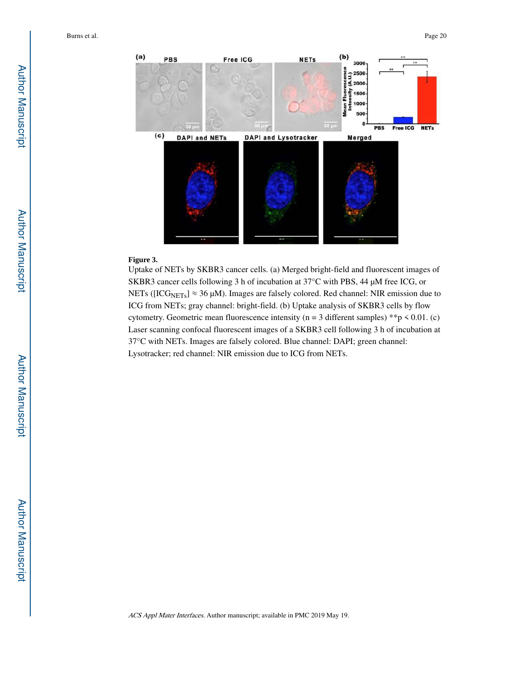

#### **Figure 3.**

Uptake of NETs by SKBR3 cancer cells. (a) Merged bright-field and fluorescent images of SKBR3 cancer cells following 3 h of incubation at 37°C with PBS, 44 μM free ICG, or NETs ( $[ICG<sub>NETs</sub>] \approx 36 \mu M$ ). Images are falsely colored. Red channel: NIR emission due to ICG from NETs; gray channel: bright-field. (b) Uptake analysis of SKBR3 cells by flow cytometry. Geometric mean fluorescence intensity (n = 3 different samples) \*\*p  $\leq 0.01$ . (c) Laser scanning confocal fluorescent images of a SKBR3 cell following 3 h of incubation at 37°C with NETs. Images are falsely colored. Blue channel: DAPI; green channel: Lysotracker; red channel: NIR emission due to ICG from NETs.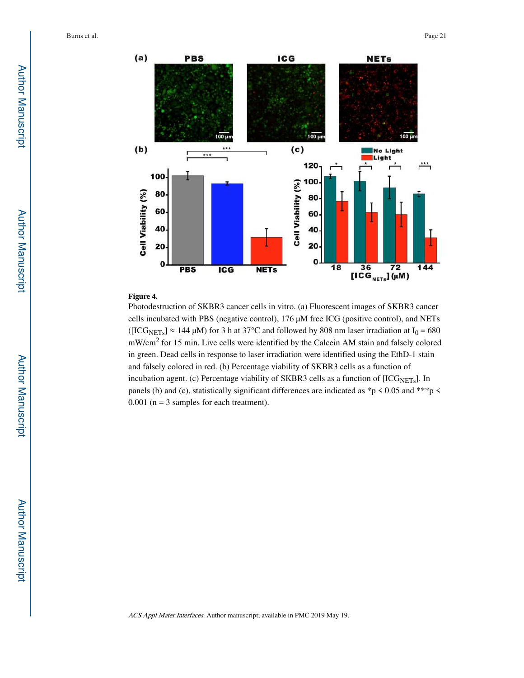



#### **Figure 4.**

Photodestruction of SKBR3 cancer cells in vitro. (a) Fluorescent images of SKBR3 cancer cells incubated with PBS (negative control), 176 μM free ICG (positive control), and NETs ([ICG<sub>NETs</sub>]  $\approx$  144 μM) for 3 h at 37°C and followed by 808 nm laser irradiation at I<sub>0</sub> = 680 mW/cm<sup>2</sup> for 15 min. Live cells were identified by the Calcein AM stain and falsely colored in green. Dead cells in response to laser irradiation were identified using the EthD-1 stain and falsely colored in red. (b) Percentage viability of SKBR3 cells as a function of incubation agent. (c) Percentage viability of SKBR3 cells as a function of  $[ICG<sub>NETs</sub>]$ . In panels (b) and (c), statistically significant differences are indicated as  $\sp{\ast}p$  < 0.05 and  $\sp{\ast\ast\ast}p$  <  $0.001$  (n = 3 samples for each treatment).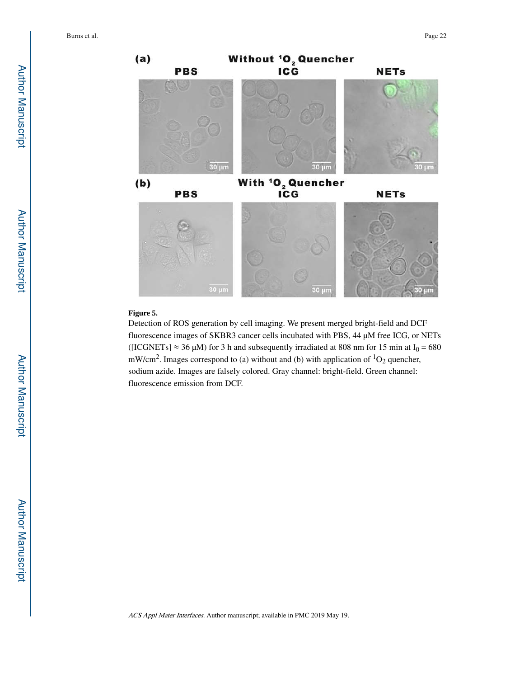

#### **Figure 5.**

Detection of ROS generation by cell imaging. We present merged bright-field and DCF fluorescence images of SKBR3 cancer cells incubated with PBS, 44 μM free ICG, or NETs ([ICGNETs]  $\approx 36 \mu$ M) for 3 h and subsequently irradiated at 808 nm for 15 min at I<sub>0</sub> = 680 mW/cm<sup>2</sup>. Images correspond to (a) without and (b) with application of  ${}^{1}O_{2}$  quencher, sodium azide. Images are falsely colored. Gray channel: bright-field. Green channel: fluorescence emission from DCF.